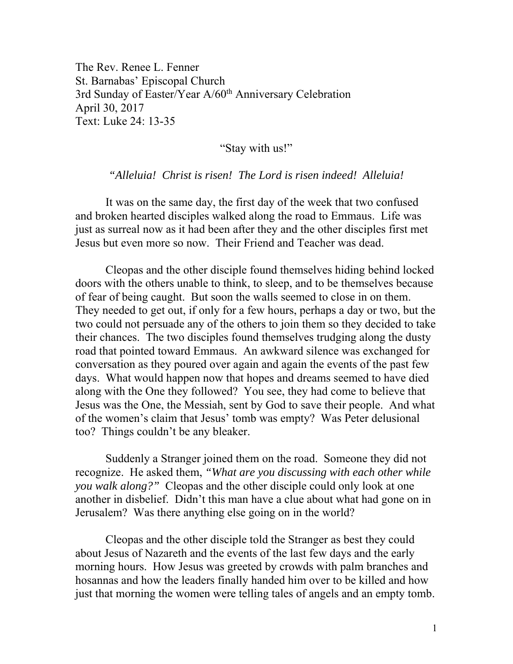The Rev. Renee L. Fenner St. Barnabas' Episcopal Church 3rd Sunday of Easter/Year A/60<sup>th</sup> Anniversary Celebration April 30, 2017 Text: Luke 24: 13-35

"Stay with us!"

*"Alleluia! Christ is risen! The Lord is risen indeed! Alleluia!* 

 It was on the same day, the first day of the week that two confused and broken hearted disciples walked along the road to Emmaus. Life was just as surreal now as it had been after they and the other disciples first met Jesus but even more so now. Their Friend and Teacher was dead.

Cleopas and the other disciple found themselves hiding behind locked doors with the others unable to think, to sleep, and to be themselves because of fear of being caught. But soon the walls seemed to close in on them. They needed to get out, if only for a few hours, perhaps a day or two, but the two could not persuade any of the others to join them so they decided to take their chances. The two disciples found themselves trudging along the dusty road that pointed toward Emmaus. An awkward silence was exchanged for conversation as they poured over again and again the events of the past few days. What would happen now that hopes and dreams seemed to have died along with the One they followed? You see, they had come to believe that Jesus was the One, the Messiah, sent by God to save their people. And what of the women's claim that Jesus' tomb was empty? Was Peter delusional too? Things couldn't be any bleaker.

 Suddenly a Stranger joined them on the road. Someone they did not recognize. He asked them, *"What are you discussing with each other while you walk along?"* Cleopas and the other disciple could only look at one another in disbelief. Didn't this man have a clue about what had gone on in Jerusalem? Was there anything else going on in the world?

Cleopas and the other disciple told the Stranger as best they could about Jesus of Nazareth and the events of the last few days and the early morning hours. How Jesus was greeted by crowds with palm branches and hosannas and how the leaders finally handed him over to be killed and how just that morning the women were telling tales of angels and an empty tomb.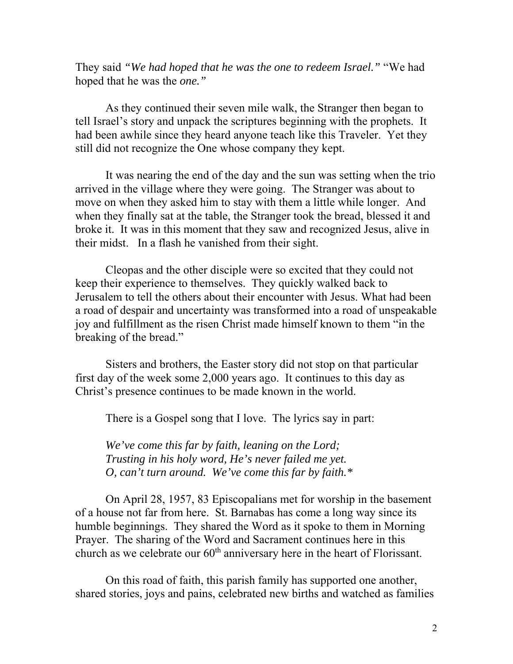They said *"We had hoped that he was the one to redeem Israel."* "We had hoped that he was the *one."* 

As they continued their seven mile walk, the Stranger then began to tell Israel's story and unpack the scriptures beginning with the prophets. It had been awhile since they heard anyone teach like this Traveler. Yet they still did not recognize the One whose company they kept.

It was nearing the end of the day and the sun was setting when the trio arrived in the village where they were going. The Stranger was about to move on when they asked him to stay with them a little while longer. And when they finally sat at the table, the Stranger took the bread, blessed it and broke it. It was in this moment that they saw and recognized Jesus, alive in their midst. In a flash he vanished from their sight.

Cleopas and the other disciple were so excited that they could not keep their experience to themselves. They quickly walked back to Jerusalem to tell the others about their encounter with Jesus. What had been a road of despair and uncertainty was transformed into a road of unspeakable joy and fulfillment as the risen Christ made himself known to them "in the breaking of the bread."

Sisters and brothers, the Easter story did not stop on that particular first day of the week some 2,000 years ago. It continues to this day as Christ's presence continues to be made known in the world.

There is a Gospel song that I love. The lyrics say in part:

*We've come this far by faith, leaning on the Lord; Trusting in his holy word, He's never failed me yet. O, can't turn around. We've come this far by faith.\** 

On April 28, 1957, 83 Episcopalians met for worship in the basement of a house not far from here. St. Barnabas has come a long way since its humble beginnings. They shared the Word as it spoke to them in Morning Prayer. The sharing of the Word and Sacrament continues here in this church as we celebrate our  $60<sup>th</sup>$  anniversary here in the heart of Florissant.

On this road of faith, this parish family has supported one another, shared stories, joys and pains, celebrated new births and watched as families